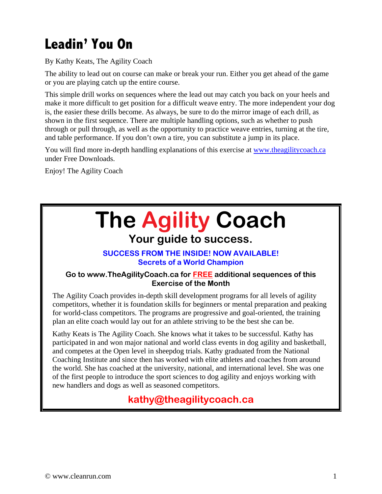# **Leadin' You On**

By Kathy Keats, The Agility Coach

The ability to lead out on course can make or break your run. Either you get ahead of the game or you are playing catch up the entire course.

This simple drill works on sequences where the lead out may catch you back on your heels and make it more difficult to get position for a difficult weave entry. The more independent your dog is, the easier these drills become. As always, be sure to do the mirror image of each drill, as shown in the first sequence. There are multiple handling options, such as whether to push through or pull through, as well as the opportunity to practice weave entries, turning at the tire, and table performance. If you don't own a tire, you can substitute a jump in its place.

You will find more in-depth handling explanations of this exercise at www.theagilitycoach.ca under Free Downloads.

Enjoy! The Agility Coach

# **The Agility Coach**

## **Your guide to success.**

#### **SUCCESS FROM THE INSIDE! NOW AVAILABLE! Secrets of a World Champion**

#### **Go to www.TheAgilityCoach.ca for FREE additional sequences of this Exercise of the Month**

The Agility Coach provides in-depth skill development programs for all levels of agility competitors, whether it is foundation skills for beginners or mental preparation and peaking for world-class competitors. The programs are progressive and goal-oriented, the training plan an elite coach would lay out for an athlete striving to be the best she can be.

Kathy Keats is The Agility Coach. She knows what it takes to be successful. Kathy has participated in and won major national and world class events in dog agility and basketball, and competes at the Open level in sheepdog trials. Kathy graduated from the National Coaching Institute and since then has worked with elite athletes and coaches from around the world. She has coached at the university, national, and international level. She was one of the first people to introduce the sport sciences to dog agility and enjoys working with new handlers and dogs as well as seasoned competitors.

### **kathy@theagilitycoach.ca**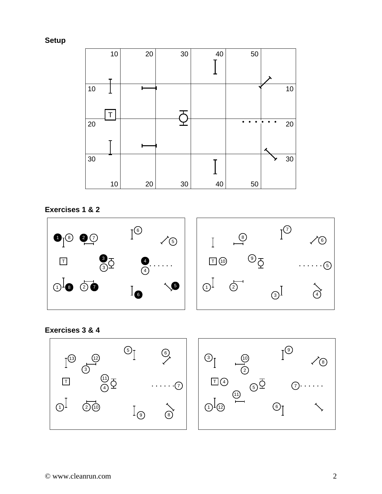**Setup** 



**Exercises 1 & 2** 



#### **Exercises 3 & 4**